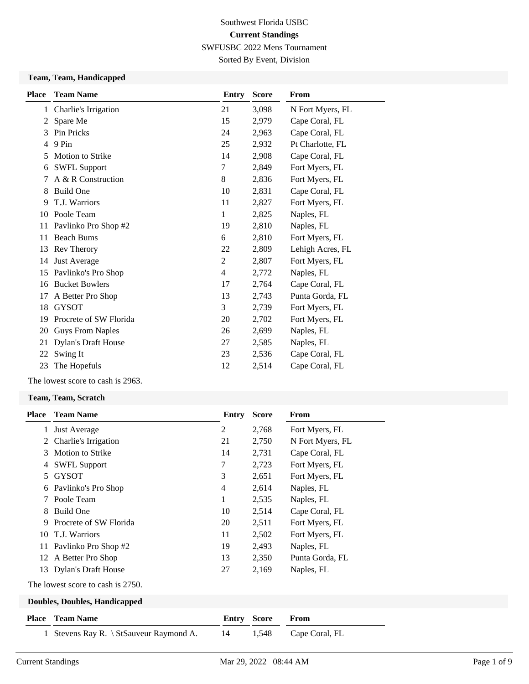Sorted By Event, Division

#### **Team, Team, Handicapped**

| <b>Place</b> | <b>Team Name</b>           | <b>Entry</b>   | <b>Score</b> | From             |
|--------------|----------------------------|----------------|--------------|------------------|
| 1            | Charlie's Irrigation       | 21             | 3,098        | N Fort Myers, FL |
| 2            | Spare Me                   | 15             | 2,979        | Cape Coral, FL   |
| 3            | Pin Pricks                 | 24             | 2,963        | Cape Coral, FL   |
| 4            | 9 Pin                      | 25             | 2,932        | Pt Charlotte, FL |
| 5            | <b>Motion to Strike</b>    | 14             | 2,908        | Cape Coral, FL   |
| 6            | <b>SWFL Support</b>        | 7              | 2,849        | Fort Myers, FL   |
| 7            | A & R Construction         | $\,8\,$        | 2,836        | Fort Myers, FL   |
| 8            | <b>Build One</b>           | 10             | 2,831        | Cape Coral, FL   |
| 9            | T.J. Warriors              | 11             | 2,827        | Fort Myers, FL   |
| 10           | Poole Team                 | 1              | 2,825        | Naples, FL       |
| 11           | Pavlinko Pro Shop #2       | 19             | 2,810        | Naples, FL       |
| 11           | <b>Beach Bums</b>          | 6              | 2,810        | Fort Myers, FL   |
| 13           | Rev Therory                | 22             | 2,809        | Lehigh Acres, FL |
| 14           | Just Average               | 2              | 2,807        | Fort Myers, FL   |
| 15           | Pavlinko's Pro Shop        | $\overline{4}$ | 2,772        | Naples, FL       |
| 16           | <b>Bucket Bowlers</b>      | 17             | 2,764        | Cape Coral, FL   |
| 17           | A Better Pro Shop          | 13             | 2,743        | Punta Gorda, FL  |
| 18           | <b>GYSOT</b>               | 3              | 2,739        | Fort Myers, FL   |
| 19           | Procrete of SW Florida     | 20             | 2,702        | Fort Myers, FL   |
| 20           | <b>Guys From Naples</b>    | 26             | 2,699        | Naples, FL       |
| 21           | <b>Dylan's Draft House</b> | 27             | 2,585        | Naples, FL       |
| 22           | Swing It                   | 23             | 2,536        | Cape Coral, FL   |
| 23           | The Hopefuls               | 12             | 2,514        | Cape Coral, FL   |

The lowest score to cash is 2963.

#### **Team, Team, Scratch**

| <b>Place</b> | <b>Team Name</b>                  | Entry | <b>Score</b> | From             |
|--------------|-----------------------------------|-------|--------------|------------------|
|              | <b>Just Average</b>               | 2     | 2,768        | Fort Myers, FL   |
| 2            | Charlie's Irrigation              | 21    | 2,750        | N Fort Myers, FL |
| 3            | Motion to Strike                  | 14    | 2,731        | Cape Coral, FL   |
| 4            | <b>SWFL Support</b>               | 7     | 2,723        | Fort Myers, FL   |
| 5.           | <b>GYSOT</b>                      | 3     | 2,651        | Fort Myers, FL   |
| 6            | Pavlinko's Pro Shop               | 4     | 2,614        | Naples, FL       |
| 7            | Poole Team                        | 1     | 2,535        | Naples, FL       |
| 8            | Build One                         | 10    | 2,514        | Cape Coral, FL   |
| 9            | Procrete of SW Florida            | 20    | 2,511        | Fort Myers, FL   |
|              | 10 T.J. Warriors                  | 11    | 2,502        | Fort Myers, FL   |
| 11           | Pavlinko Pro Shop #2              | 19    | 2,493        | Naples, FL       |
| 12           | A Better Pro Shop                 | 13    | 2,350        | Punta Gorda, FL  |
|              | 13 Dylan's Draft House            | 27    | 2,169        | Naples, FL       |
|              | The lowest score to cash is 2750. |       |              |                  |

## **Doubles, Doubles, Handicapped**

| <b>Place – Team Name</b>                   | <b>Entry Score From</b> |                      |
|--------------------------------------------|-------------------------|----------------------|
| 1 Stevens Ray R. \ StSauveur Raymond A. 14 |                         | 1,548 Cape Coral, FL |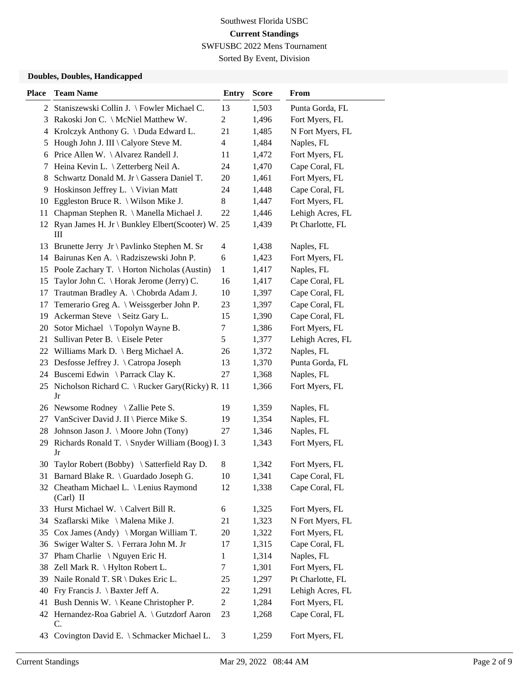Sorted By Event, Division

## **Doubles, Doubles, Handicapped**

| <b>Place</b> | <b>Team Name</b>                                         | <b>Entry</b>             | <b>Score</b> | From             |
|--------------|----------------------------------------------------------|--------------------------|--------------|------------------|
|              | 2 Staniszewski Collin J. \ Fowler Michael C.             | 13                       | 1,503        | Punta Gorda, FL  |
| 3            | Rakoski Jon C. \ McNiel Matthew W.                       | $\overline{c}$           | 1,496        | Fort Myers, FL   |
| 4            | Krolczyk Anthony G. \ Duda Edward L.                     | 21                       | 1,485        | N Fort Myers, FL |
| 5            | Hough John J. III \ Calyore Steve M.                     | $\overline{\mathcal{L}}$ | 1,484        | Naples, FL       |
| 6            | Price Allen W. \ Alvarez Randell J.                      | 11                       | 1,472        | Fort Myers, FL   |
| 7            | Heina Kevin L. \ Zetterberg Neil A.                      | 24                       | 1,470        | Cape Coral, FL   |
| 8            | Schwartz Donald M. Jr \ Gassera Daniel T.                | 20                       | 1,461        | Fort Myers, FL   |
|              | 9 Hoskinson Jeffrey L. \ Vivian Matt                     | 24                       | 1,448        | Cape Coral, FL   |
| 10           | Eggleston Bruce R. $\setminus$ Wilson Mike J.            | 8                        | 1,447        | Fort Myers, FL   |
| 11           | Chapman Stephen R. \ Manella Michael J.                  | 22                       | 1,446        | Lehigh Acres, FL |
|              | 12 Ryan James H. Jr \ Bunkley Elbert(Scooter) W. 25<br>Ш |                          | 1,439        | Pt Charlotte, FL |
| 13           | Brunette Jerry Jr \ Pavlinko Stephen M. Sr               | 4                        | 1,438        | Naples, FL       |
| 14           | Bairunas Ken A. \ Radziszewski John P.                   | 6                        | 1,423        | Fort Myers, FL   |
| 15           | Poole Zachary T. \ Horton Nicholas (Austin)              | $\mathbf{1}$             | 1,417        | Naples, FL       |
| 15           | Taylor John C. \ Horak Jerome (Jerry) C.                 | 16                       | 1,417        | Cape Coral, FL   |
| 17           | Trautman Bradley A. \ Chobrda Adam J.                    | 10                       | 1,397        | Cape Coral, FL   |
| 17           | Temerario Greg A. \ Weissgerber John P.                  | 23                       | 1,397        | Cape Coral, FL   |
| 19           | Ackerman Steve \ Seitz Gary L.                           | 15                       | 1,390        | Cape Coral, FL   |
| 20           | Sotor Michael \Topolyn Wayne B.                          | 7                        | 1,386        | Fort Myers, FL   |
| 21           | Sullivan Peter B. \ Eisele Peter                         | 5                        | 1,377        | Lehigh Acres, FL |
| 22           | Williams Mark D. \ Berg Michael A.                       | 26                       | 1,372        | Naples, FL       |
| 23           | Desfosse Jeffrey J. \ Catropa Joseph                     | 13                       | 1,370        | Punta Gorda, FL  |
|              | 24 Buscemi Edwin \Parrack Clay K.                        | 27                       | 1,368        | Naples, FL       |
| 25           | Nicholson Richard C. \ Rucker Gary(Ricky) R. 11<br>Jr    |                          | 1,366        | Fort Myers, FL   |
|              | 26 Newsome Rodney \ Zallie Pete S.                       | 19                       | 1,359        | Naples, FL       |
| 27           | VanSciver David J. II \ Pierce Mike S.                   | 19                       | 1,354        | Naples, FL       |
| 28.          | Johnson Jason J. \ Moore John (Tony)                     | 27                       | 1,346        | Naples, FL       |
| 29           | Richards Ronald T. \ Snyder William (Boog) I. 3<br>Jr    |                          | 1,343        | Fort Myers, FL   |
|              | 30 Taylor Robert (Bobby) \ Satterfield Ray D.            | 8                        | 1,342        | Fort Myers, FL   |
|              | 31 Barnard Blake R. \ Guardado Joseph G.                 | 10                       | 1,341        | Cape Coral, FL   |
|              | 32 Cheatham Michael L. \ Lenius Raymond<br>$(Carl)$ II   | 12                       | 1,338        | Cape Coral, FL   |
|              | 33 Hurst Michael W. \Calvert Bill R.                     | 6                        | 1,325        | Fort Myers, FL   |
|              | 34 Szaflarski Mike \ Malena Mike J.                      | 21                       | 1,323        | N Fort Myers, FL |
| 35           | Cox James (Andy) \ Morgan William T.                     | 20                       | 1,322        | Fort Myers, FL   |
| 36           | Swiger Walter S. \ Ferrara John M. Jr                    | 17                       | 1,315        | Cape Coral, FL   |
| 37           | Pham Charlie $\setminus$ Nguyen Eric H.                  | 1                        | 1,314        | Naples, FL       |
| 38           | Zell Mark R. \ Hylton Robert L.                          | 7                        | 1,301        | Fort Myers, FL   |
| 39           | Naile Ronald T. SR \ Dukes Eric L.                       | 25                       | 1,297        | Pt Charlotte, FL |
| 40           | Fry Francis J. $\ \$ Baxter Jeff A.                      | 22                       | 1,291        | Lehigh Acres, FL |
| 41           | Bush Dennis W. \ Keane Christopher P.                    | $\overline{c}$           | 1,284        | Fort Myers, FL   |
|              | 42 Hernandez-Roa Gabriel A. \ Gutzdorf Aaron<br>C.       | 23                       | 1,268        | Cape Coral, FL   |
|              | 43 Covington David E. \ Schmacker Michael L.             | 3                        | 1,259        | Fort Myers, FL   |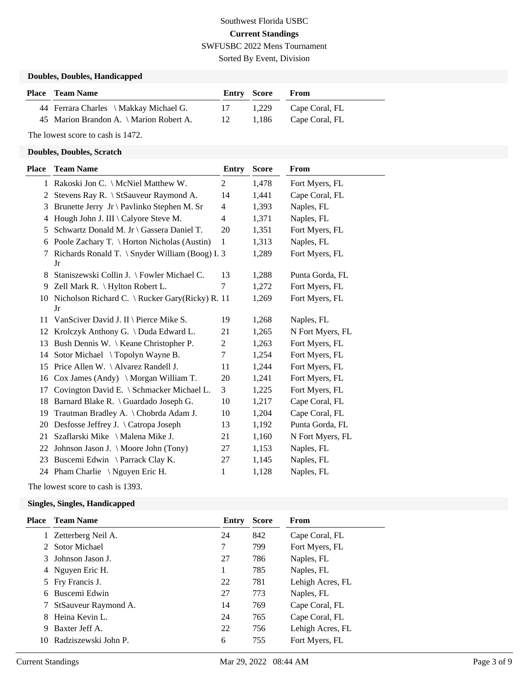# Southwest Florida USBC **Current Standings** SWFUSBC 2022 Mens Tournament Sorted By Event, Division

#### **Doubles, Doubles, Handicapped**

| <b>Place – Team Name</b>                | Entry Score |       | <b>From</b>    |
|-----------------------------------------|-------------|-------|----------------|
| 44 Ferrara Charles \ Makkay Michael G.  | 17          | 1.229 | Cape Coral, FL |
| 45 Marion Brandon A. \ Marion Robert A. | -12         | 1.186 | Cape Coral, FL |

The lowest score to cash is 1472.

#### **Doubles, Doubles, Scratch**

| Place | <b>Team Name</b>                                         | Entry          | <b>Score</b> | From             |
|-------|----------------------------------------------------------|----------------|--------------|------------------|
|       | 1 Rakoski Jon C. \ McNiel Matthew W.                     | $\overline{2}$ | 1,478        | Fort Myers, FL   |
| 2     | Stevens Ray R. \ StSauveur Raymond A.                    | 14             | 1,441        | Cape Coral, FL   |
| 3     | Brunette Jerry Jr \ Pavlinko Stephen M. Sr               | $\overline{4}$ | 1,393        | Naples, FL       |
| 4     | Hough John J. III \ Calyore Steve M.                     | 4              | 1,371        | Naples, FL       |
| 5     | Schwartz Donald M. Jr \ Gassera Daniel T.                | 20             | 1,351        | Fort Myers, FL   |
| 6     | Poole Zachary T. \ Horton Nicholas (Austin)              | $\mathbf{1}$   | 1,313        | Naples, FL       |
| 7     | Richards Ronald T. \ Snyder William (Boog) I. 3<br>Jr    |                | 1,289        | Fort Myers, FL   |
| 8     | Staniszewski Collin J. \ Fowler Michael C.               | 13             | 1,288        | Punta Gorda, FL  |
| 9     | Zell Mark R. \ Hylton Robert L.                          | 7              | 1,272        | Fort Myers, FL   |
|       | 10 Nicholson Richard C. \ Rucker Gary(Ricky) R. 11<br>Jr |                | 1,269        | Fort Myers, FL   |
| 11    | VanSciver David J. II \ Pierce Mike S.                   | 19             | 1,268        | Naples, FL       |
| 12    | Krolczyk Anthony G. \ Duda Edward L.                     | 21             | 1,265        | N Fort Myers, FL |
| 13    | Bush Dennis W. \ Keane Christopher P.                    | $\overline{c}$ | 1,263        | Fort Myers, FL   |
| 14    | Sotor Michael \Topolyn Wayne B.                          | 7              | 1,254        | Fort Myers, FL   |
| 15    | Price Allen W. \ Alvarez Randell J.                      | 11             | 1,244        | Fort Myers, FL   |
| 16    | $\cos$ James (Andy) \ Morgan William T.                  | 20             | 1,241        | Fort Myers, FL   |
| 17    | Covington David E. \ Schmacker Michael L.                | 3              | 1,225        | Fort Myers, FL   |
| 18    | Barnard Blake R. \ Guardado Joseph G.                    | 10             | 1,217        | Cape Coral, FL   |
| 19    | Trautman Bradley A. \ Chobrda Adam J.                    | 10             | 1,204        | Cape Coral, FL   |
|       | 20 Desfosse Jeffrey J. \ Catropa Joseph                  | 13             | 1,192        | Punta Gorda, FL  |
| 21    | Szaflarski Mike \ Malena Mike J.                         | 21             | 1,160        | N Fort Myers, FL |
| 22    | Johnson Jason J. \ Moore John (Tony)                     | 27             | 1,153        | Naples, FL       |
| 23    | Buscemi Edwin \ Parrack Clay K.                          | 27             | 1,145        | Naples, FL       |
|       | 24 Pham Charlie \Nguyen Eric H.                          | 1              | 1,128        | Naples, FL       |

The lowest score to cash is 1393.

#### **Singles, Singles, Handicapped**

| Place | <b>Team Name</b>     | Entry | <b>Score</b> | From             |
|-------|----------------------|-------|--------------|------------------|
|       | 1 Zetterberg Neil A. | 24    | 842          | Cape Coral, FL   |
|       | 2 Sotor Michael      | 7     | 799          | Fort Myers, FL   |
|       | 3 Johnson Jason J.   | 27    | 786          | Naples, FL       |
|       | 4 Nguyen Eric H.     |       | 785          | Naples, FL       |
|       | 5 Fry Francis J.     | 22    | 781          | Lehigh Acres, FL |
|       | 6 Buscemi Edwin      | 27    | 773          | Naples, FL       |
|       | StSauveur Raymond A. | 14    | 769          | Cape Coral, FL   |
| 8.    | Heina Kevin L.       | 24    | 765          | Cape Coral, FL   |
| 9     | Baxter Jeff A.       | 22    | 756          | Lehigh Acres, FL |
| 10    | Radziszewski John P. | 6     | 755          | Fort Myers, FL   |
|       |                      |       |              |                  |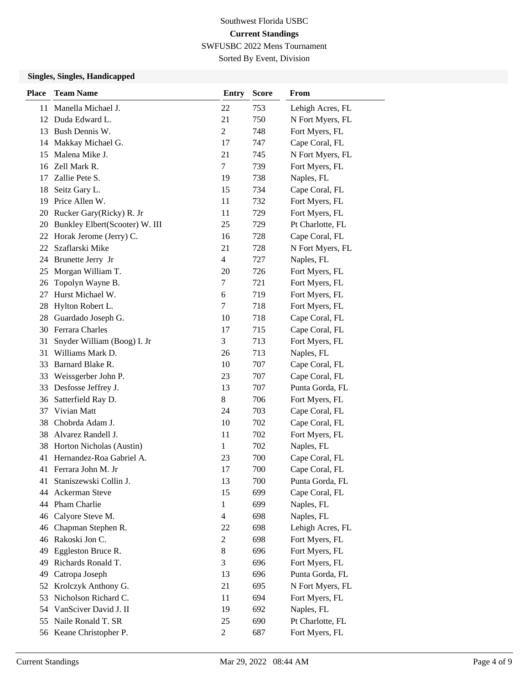Sorted By Event, Division

## **Singles, Singles, Handicapped**

| <b>Place</b> | <b>Team Name</b>               | <b>Entry</b>   | <b>Score</b> | From             |
|--------------|--------------------------------|----------------|--------------|------------------|
| 11           | Manella Michael J.             | 22             | 753          | Lehigh Acres, FL |
| 12           | Duda Edward L.                 | 21             | 750          | N Fort Myers, FL |
| 13           | Bush Dennis W.                 | $\overline{2}$ | 748          | Fort Myers, FL   |
| 14           | Makkay Michael G.              | 17             | 747          | Cape Coral, FL   |
| 15           | Malena Mike J.                 | 21             | 745          | N Fort Myers, FL |
| 16           | Zell Mark R.                   | $\tau$         | 739          | Fort Myers, FL   |
| 17           | Zallie Pete S.                 | 19             | 738          | Naples, FL       |
| 18           | Seitz Gary L.                  | 15             | 734          | Cape Coral, FL   |
| 19           | Price Allen W.                 | 11             | 732          | Fort Myers, FL   |
| 20           | Rucker Gary(Ricky) R. Jr       | 11             | 729          | Fort Myers, FL   |
| 20           | Bunkley Elbert(Scooter) W. III | 25             | 729          | Pt Charlotte, FL |
| 22           | Horak Jerome (Jerry) C.        | 16             | 728          | Cape Coral, FL   |
| 22           | Szaflarski Mike                | 21             | 728          | N Fort Myers, FL |
| 24           | Brunette Jerry Jr              | $\overline{4}$ | 727          | Naples, FL       |
| 25           | Morgan William T.              | 20             | 726          | Fort Myers, FL   |
| 26           | Topolyn Wayne B.               | $\tau$         | 721          | Fort Myers, FL   |
| 27           | Hurst Michael W.               | 6              | 719          | Fort Myers, FL   |
| 28           | Hylton Robert L.               | 7              | 718          | Fort Myers, FL   |
| 28           | Guardado Joseph G.             | 10             | 718          | Cape Coral, FL   |
|              | 30 Ferrara Charles             | 17             | 715          | Cape Coral, FL   |
| 31           | Snyder William (Boog) I. Jr    | 3              | 713          | Fort Myers, FL   |
| 31           | Williams Mark D.               | 26             | 713          | Naples, FL       |
| 33           | Barnard Blake R.               | 10             | 707          | Cape Coral, FL   |
| 33           | Weissgerber John P.            | 23             | 707          | Cape Coral, FL   |
| 33           | Desfosse Jeffrey J.            | 13             | 707          | Punta Gorda, FL  |
| 36           | Satterfield Ray D.             | $8\,$          | 706          | Fort Myers, FL   |
| 37           | Vivian Matt                    | 24             | 703          | Cape Coral, FL   |
| 38           | Chobrda Adam J.                | 10             | 702          | Cape Coral, FL   |
| 38           | Alvarez Randell J.             | 11             | 702          | Fort Myers, FL   |
| 38           | Horton Nicholas (Austin)       | 1              | 702          | Naples, FL       |
| 41           | Hernandez-Roa Gabriel A.       | 23             | 700          | Cape Coral, FL   |
|              | 41 Ferrara John M. Jr          | 17             | 700          | Cape Coral, FL   |
| 41           | Staniszewski Collin J.         | 13             | 700          | Punta Gorda, FL  |
| 44           | Ackerman Steve                 | 15             | 699          | Cape Coral, FL   |
| 44           | Pham Charlie                   | $\mathbf{1}$   | 699          | Naples, FL       |
| 46           | Calyore Steve M.               | $\overline{4}$ | 698          | Naples, FL       |
| 46           | Chapman Stephen R.             | 22             | 698          | Lehigh Acres, FL |
| 46           | Rakoski Jon C.                 | $\overline{c}$ | 698          | Fort Myers, FL   |
| 49           | Eggleston Bruce R.             | $8\,$          | 696          | Fort Myers, FL   |
| 49           | Richards Ronald T.             | 3              | 696          | Fort Myers, FL   |
| 49           | Catropa Joseph                 | 13             | 696          | Punta Gorda, FL  |
| 52           | Krolczyk Anthony G.            | 21             | 695          | N Fort Myers, FL |
| 53           | Nicholson Richard C.           | 11             | 694          | Fort Myers, FL   |
| 54           | VanSciver David J. II          | 19             | 692          | Naples, FL       |
| 55           | Naile Ronald T. SR             | 25             | 690          | Pt Charlotte, FL |
|              | 56 Keane Christopher P.        | $\overline{2}$ | 687          | Fort Myers, FL   |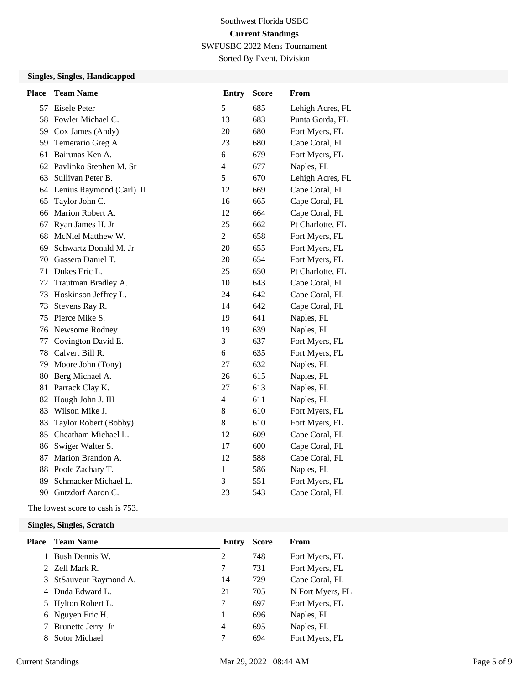# Southwest Florida USBC **Current Standings**

SWFUSBC 2022 Mens Tournament Sorted By Event, Division

## **Singles, Singles, Handicapped**

| <b>Place</b> | <b>Team Name</b>            | <b>Entry</b>   | <b>Score</b> | From             |
|--------------|-----------------------------|----------------|--------------|------------------|
| 57           | Eisele Peter                | 5              | 685          | Lehigh Acres, FL |
| 58           | Fowler Michael C.           | 13             | 683          | Punta Gorda, FL  |
|              | 59 Cox James (Andy)         | 20             | 680          | Fort Myers, FL   |
| 59           | Temerario Greg A.           | 23             | 680          | Cape Coral, FL   |
| 61           | Bairunas Ken A.             | 6              | 679          | Fort Myers, FL   |
| 62           | Pavlinko Stephen M. Sr      | $\overline{4}$ | 677          | Naples, FL       |
| 63           | Sullivan Peter B.           | 5              | 670          | Lehigh Acres, FL |
|              | 64 Lenius Raymond (Carl) II | 12             | 669          | Cape Coral, FL   |
| 65           | Taylor John C.              | 16             | 665          | Cape Coral, FL   |
| 66           | Marion Robert A.            | 12             | 664          | Cape Coral, FL   |
| 67           | Ryan James H. Jr            | 25             | 662          | Pt Charlotte, FL |
| 68           | McNiel Matthew W.           | $\overline{2}$ | 658          | Fort Myers, FL   |
| 69           | Schwartz Donald M. Jr       | 20             | 655          | Fort Myers, FL   |
| 70           | Gassera Daniel T.           | 20             | 654          | Fort Myers, FL   |
| 71           | Dukes Eric L.               | 25             | 650          | Pt Charlotte, FL |
| 72           | Trautman Bradley A.         | 10             | 643          | Cape Coral, FL   |
| 73           | Hoskinson Jeffrey L.        | 24             | 642          | Cape Coral, FL   |
| 73           | Stevens Ray R.              | 14             | 642          | Cape Coral, FL   |
| 75           | Pierce Mike S.              | 19             | 641          | Naples, FL       |
| 76           | Newsome Rodney              | 19             | 639          | Naples, FL       |
| 77           | Covington David E.          | 3              | 637          | Fort Myers, FL   |
| 78           | Calvert Bill R.             | 6              | 635          | Fort Myers, FL   |
| 79           | Moore John (Tony)           | 27             | 632          | Naples, FL       |
| 80           | Berg Michael A.             | 26             | 615          | Naples, FL       |
| 81           | Parrack Clay K.             | 27             | 613          | Naples, FL       |
| 82           | Hough John J. III           | $\overline{4}$ | 611          | Naples, FL       |
| 83           | Wilson Mike J.              | $\,8\,$        | 610          | Fort Myers, FL   |
| 83           | Taylor Robert (Bobby)       | $8\,$          | 610          | Fort Myers, FL   |
| 85           | Cheatham Michael L.         | 12             | 609          | Cape Coral, FL   |
| 86           | Swiger Walter S.            | 17             | 600          | Cape Coral, FL   |
| 87           | Marion Brandon A.           | 12             | 588          | Cape Coral, FL   |
| 88           | Poole Zachary T.            | $\mathbf{1}$   | 586          | Naples, FL       |
| 89           | Schmacker Michael L.        | 3              | 551          | Fort Myers, FL   |
| 90           | Gutzdorf Aaron C.           | 23             | 543          | Cape Coral, FL   |

The lowest score to cash is 753.

**Singles, Singles, Scratch**

| Place | <b>Team Name</b>       | Entry | <b>Score</b> | From             |
|-------|------------------------|-------|--------------|------------------|
|       | Bush Dennis W.         | 2     | 748          | Fort Myers, FL   |
|       | 2 Zell Mark R.         |       | 731          | Fort Myers, FL   |
|       | 3 StSauveur Raymond A. | 14    | 729          | Cape Coral, FL   |
|       | 4 Duda Edward L.       | 21    | 705          | N Fort Myers, FL |
|       | 5 Hylton Robert L.     |       | 697          | Fort Myers, FL   |
|       | 6 Nguyen Eric H.       |       | 696          | Naples, FL       |
|       | Brunette Jerry Jr      | 4     | 695          | Naples, FL       |
|       | <b>Sotor Michael</b>   |       | 694          | Fort Myers, FL   |
|       |                        |       |              |                  |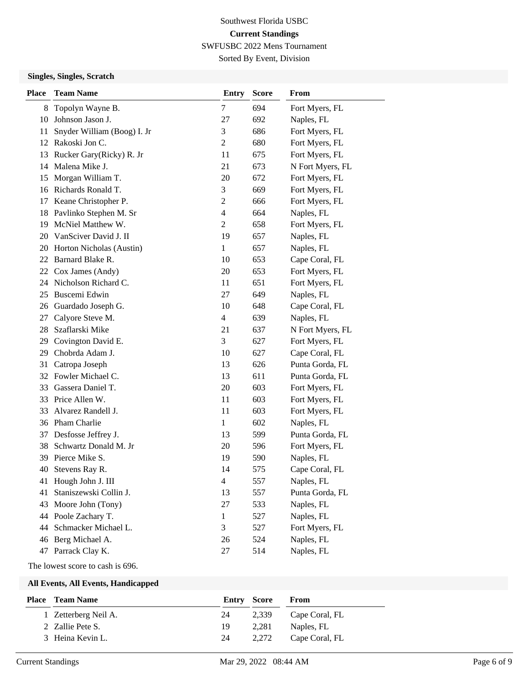Sorted By Event, Division

### **Singles, Singles, Scratch**

| <b>Place</b> | <b>Team Name</b>            | <b>Entry</b>   | <b>Score</b> | From             |
|--------------|-----------------------------|----------------|--------------|------------------|
| 8            | Topolyn Wayne B.            | 7              | 694          | Fort Myers, FL   |
| 10           | Johnson Jason J.            | 27             | 692          | Naples, FL       |
| 11           | Snyder William (Boog) I. Jr | 3              | 686          | Fort Myers, FL   |
| 12           | Rakoski Jon C.              | 2              | 680          | Fort Myers, FL   |
| 13           | Rucker Gary(Ricky) R. Jr    | 11             | 675          | Fort Myers, FL   |
| 14           | Malena Mike J.              | 21             | 673          | N Fort Myers, FL |
| 15           | Morgan William T.           | 20             | 672          | Fort Myers, FL   |
| 16           | Richards Ronald T.          | 3              | 669          | Fort Myers, FL   |
| 17           | Keane Christopher P.        | 2              | 666          | Fort Myers, FL   |
| 18           | Pavlinko Stephen M. Sr      | $\overline{4}$ | 664          | Naples, FL       |
| 19           | McNiel Matthew W.           | $\overline{2}$ | 658          | Fort Myers, FL   |
| 20           | VanSciver David J. II       | 19             | 657          | Naples, FL       |
| 20           | Horton Nicholas (Austin)    | $\mathbf{1}$   | 657          | Naples, FL       |
|              | 22 Barnard Blake R.         | 10             | 653          | Cape Coral, FL   |
| 22           | Cox James (Andy)            | 20             | 653          | Fort Myers, FL   |
| 24           | Nicholson Richard C.        | 11             | 651          | Fort Myers, FL   |
| 25           | Buscemi Edwin               | 27             | 649          | Naples, FL       |
| 26           | Guardado Joseph G.          | 10             | 648          | Cape Coral, FL   |
| 27           | Calyore Steve M.            | $\overline{4}$ | 639          | Naples, FL       |
| 28           | Szaflarski Mike             | 21             | 637          | N Fort Myers, FL |
| 29           | Covington David E.          | 3              | 627          | Fort Myers, FL   |
| 29           | Chobrda Adam J.             | 10             | 627          | Cape Coral, FL   |
| 31           | Catropa Joseph              | 13             | 626          | Punta Gorda, FL  |
|              | 32 Fowler Michael C.        | 13             | 611          | Punta Gorda, FL  |
| 33           | Gassera Daniel T.           | 20             | 603          | Fort Myers, FL   |
|              | 33 Price Allen W.           | 11             | 603          | Fort Myers, FL   |
| 33           | Alvarez Randell J.          | 11             | 603          | Fort Myers, FL   |
| 36           | Pham Charlie                | 1              | 602          | Naples, FL       |
| 37           | Desfosse Jeffrey J.         | 13             | 599          | Punta Gorda, FL  |
| 38           | Schwartz Donald M. Jr       | 20             | 596          | Fort Myers, FL   |
|              | 39 Pierce Mike S.           | 19             | 590          | Naples, FL       |
| 40           | Stevens Ray R.              | 14             | 575          | Cape Coral, FL   |
| 41           | Hough John J. III           | $\overline{4}$ | 557          | Naples, FL       |
| 41           | Staniszewski Collin J.      | 13             | 557          | Punta Gorda, FL  |
| 43           | Moore John (Tony)           | 27             | 533          | Naples, FL       |
| 44           | Poole Zachary T.            | 1              | 527          | Naples, FL       |
| 44           | Schmacker Michael L.        | 3              | 527          | Fort Myers, FL   |
| 46           | Berg Michael A.             | 26             | 524          | Naples, FL       |
| 47           | Parrack Clay K.             | 27             | 514          | Naples, FL       |

#### The lowest score to cash is 696.

#### **All Events, All Events, Handicapped**

| <b>Place</b> Team Name<br>Entry Score<br>From         |
|-------------------------------------------------------|
| 1 Zetterberg Neil A.<br>2,339<br>24<br>Cape Coral, FL |
| 2 Zallie Pete S.<br>2.281<br>Naples, FL<br>19         |
| 3 Heina Kevin L.<br>2.272<br>Cape Coral, FL<br>24     |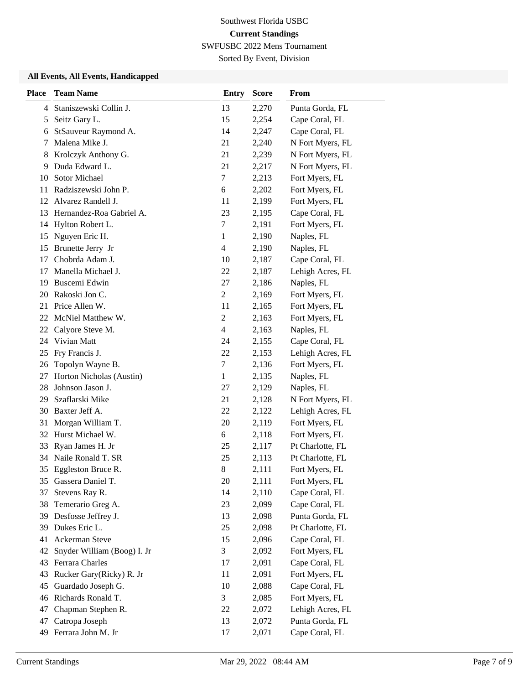Sorted By Event, Division

## **All Events, All Events, Handicapped**

| <b>Place</b> | <b>Team Name</b>            | <b>Entry</b>             | <b>Score</b> | From             |
|--------------|-----------------------------|--------------------------|--------------|------------------|
| 4            | Staniszewski Collin J.      | 13                       | 2,270        | Punta Gorda, FL  |
| 5            | Seitz Gary L.               | 15                       | 2,254        | Cape Coral, FL   |
| 6            | StSauveur Raymond A.        | 14                       | 2,247        | Cape Coral, FL   |
| 7            | Malena Mike J.              | 21                       | 2,240        | N Fort Myers, FL |
| 8            | Krolczyk Anthony G.         | 21                       | 2,239        | N Fort Myers, FL |
| 9            | Duda Edward L.              | 21                       | 2,217        | N Fort Myers, FL |
| 10           | Sotor Michael               | 7                        | 2,213        | Fort Myers, FL   |
| 11           | Radziszewski John P.        | 6                        | 2,202        | Fort Myers, FL   |
| 12           | Alvarez Randell J.          | 11                       | 2,199        | Fort Myers, FL   |
| 13           | Hernandez-Roa Gabriel A.    | 23                       | 2,195        | Cape Coral, FL   |
| 14           | Hylton Robert L.            | $\boldsymbol{7}$         | 2,191        | Fort Myers, FL   |
| 15           | Nguyen Eric H.              | 1                        | 2,190        | Naples, FL       |
| 15           | Brunette Jerry Jr           | 4                        | 2,190        | Naples, FL       |
| 17           | Chobrda Adam J.             | 10                       | 2,187        | Cape Coral, FL   |
| 17           | Manella Michael J.          | 22                       | 2,187        | Lehigh Acres, FL |
| 19           | Buscemi Edwin               | 27                       | 2,186        | Naples, FL       |
| 20           | Rakoski Jon C.              | $\overline{c}$           | 2,169        | Fort Myers, FL   |
| 21           | Price Allen W.              | 11                       | 2,165        | Fort Myers, FL   |
| 22           | McNiel Matthew W.           | $\overline{c}$           | 2,163        | Fort Myers, FL   |
| 22           | Calyore Steve M.            | $\overline{\mathcal{L}}$ | 2,163        | Naples, FL       |
| 24           | Vivian Matt                 | 24                       | 2,155        | Cape Coral, FL   |
| 25           | Fry Francis J.              | 22                       | 2,153        | Lehigh Acres, FL |
| 26           | Topolyn Wayne B.            | 7                        | 2,136        | Fort Myers, FL   |
| 27           | Horton Nicholas (Austin)    | 1                        | 2,135        | Naples, FL       |
| 28           | Johnson Jason J.            | 27                       | 2,129        | Naples, FL       |
| 29           | Szaflarski Mike             | 21                       | 2,128        | N Fort Myers, FL |
| 30           | Baxter Jeff A.              | 22                       | 2,122        | Lehigh Acres, FL |
| 31           | Morgan William T.           | 20                       | 2,119        | Fort Myers, FL   |
| 32           | Hurst Michael W.            | 6                        | 2,118        | Fort Myers, FL   |
| 33           | Ryan James H. Jr            | 25                       | 2,117        | Pt Charlotte, FL |
| 34           | Naile Ronald T. SR          | 25                       | 2,113        | Pt Charlotte, FL |
| 35           | Eggleston Bruce R.          | $\,$ 8 $\,$              | 2,111        | Fort Myers, FL   |
| 35           | Gassera Daniel T.           | 20                       | 2,111        | Fort Myers, FL   |
| 37           | Stevens Ray R.              | 14                       | 2,110        | Cape Coral, FL   |
| 38           | Temerario Greg A.           | 23                       | 2,099        | Cape Coral, FL   |
| 39           | Desfosse Jeffrey J.         | 13                       | 2,098        | Punta Gorda, FL  |
| 39           | Dukes Eric L.               | 25                       | 2,098        | Pt Charlotte, FL |
| 41           | Ackerman Steve              | 15                       | 2,096        | Cape Coral, FL   |
| 42           | Snyder William (Boog) I. Jr | 3                        | 2,092        | Fort Myers, FL   |
| 43           | Ferrara Charles             | 17                       | 2,091        | Cape Coral, FL   |
| 43           | Rucker Gary(Ricky) R. Jr    | 11                       | 2,091        | Fort Myers, FL   |
| 45           | Guardado Joseph G.          | 10                       | 2,088        | Cape Coral, FL   |
| 46           | Richards Ronald T.          | 3                        | 2,085        | Fort Myers, FL   |
| 47           | Chapman Stephen R.          | 22                       | 2,072        | Lehigh Acres, FL |
| 47           | Catropa Joseph              | 13                       | 2,072        | Punta Gorda, FL  |
| 49           | Ferrara John M. Jr          | 17                       | 2,071        | Cape Coral, FL   |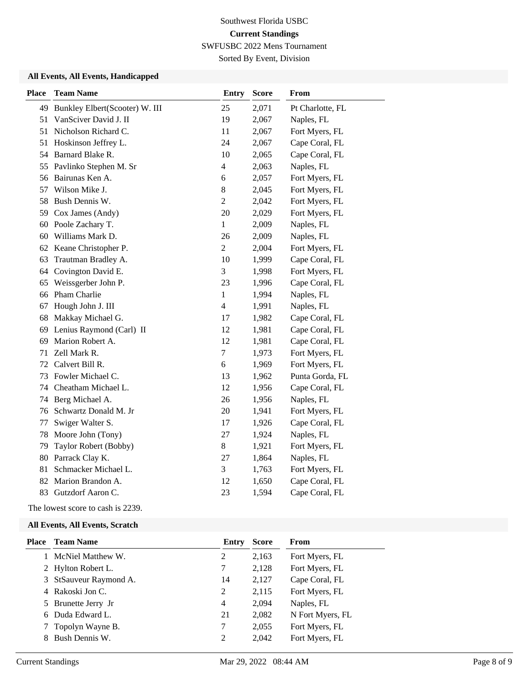Sorted By Event, Division

## **All Events, All Events, Handicapped**

| <b>Place</b> | <b>Team Name</b>               | <b>Entry</b>             | <b>Score</b> | From             |
|--------------|--------------------------------|--------------------------|--------------|------------------|
| 49           | Bunkley Elbert(Scooter) W. III | 25                       | 2,071        | Pt Charlotte, FL |
| 51           | VanSciver David J. II          | 19                       | 2,067        | Naples, FL       |
| 51           | Nicholson Richard C.           | 11                       | 2,067        | Fort Myers, FL   |
| 51           | Hoskinson Jeffrey L.           | 24                       | 2,067        | Cape Coral, FL   |
| 54           | Barnard Blake R.               | 10                       | 2,065        | Cape Coral, FL   |
| 55           | Pavlinko Stephen M. Sr         | $\overline{\mathbf{4}}$  | 2,063        | Naples, FL       |
| 56           | Bairunas Ken A.                | 6                        | 2,057        | Fort Myers, FL   |
| 57           | Wilson Mike J.                 | $8\,$                    | 2,045        | Fort Myers, FL   |
| 58           | Bush Dennis W.                 | $\overline{c}$           | 2,042        | Fort Myers, FL   |
| 59           | Cox James (Andy)               | 20                       | 2,029        | Fort Myers, FL   |
| 60           | Poole Zachary T.               | 1                        | 2,009        | Naples, FL       |
| 60           | Williams Mark D.               | 26                       | 2,009        | Naples, FL       |
| 62           | Keane Christopher P.           | $\mathbf{2}$             | 2,004        | Fort Myers, FL   |
| 63           | Trautman Bradley A.            | 10                       | 1,999        | Cape Coral, FL   |
| 64           | Covington David E.             | 3                        | 1,998        | Fort Myers, FL   |
| 65           | Weissgerber John P.            | 23                       | 1,996        | Cape Coral, FL   |
| 66           | Pham Charlie                   | $\mathbf{1}$             | 1,994        | Naples, FL       |
| 67           | Hough John J. III              | $\overline{\mathcal{L}}$ | 1,991        | Naples, FL       |
| 68           | Makkay Michael G.              | 17                       | 1,982        | Cape Coral, FL   |
| 69           | Lenius Raymond (Carl) II       | 12                       | 1,981        | Cape Coral, FL   |
| 69           | Marion Robert A.               | 12                       | 1,981        | Cape Coral, FL   |
| 71           | Zell Mark R.                   | $\boldsymbol{7}$         | 1,973        | Fort Myers, FL   |
| 72           | Calvert Bill R.                | 6                        | 1,969        | Fort Myers, FL   |
| 73           | Fowler Michael C.              | 13                       | 1,962        | Punta Gorda, FL  |
| 74           | Cheatham Michael L.            | 12                       | 1,956        | Cape Coral, FL   |
| 74           | Berg Michael A.                | 26                       | 1,956        | Naples, FL       |
| 76           | Schwartz Donald M. Jr          | 20                       | 1,941        | Fort Myers, FL   |
| 77           | Swiger Walter S.               | 17                       | 1,926        | Cape Coral, FL   |
| 78           | Moore John (Tony)              | 27                       | 1,924        | Naples, FL       |
| 79           | Taylor Robert (Bobby)          | $8\,$                    | 1,921        | Fort Myers, FL   |
| 80           | Parrack Clay K.                | 27                       | 1,864        | Naples, FL       |
| 81           | Schmacker Michael L.           | 3                        | 1,763        | Fort Myers, FL   |
| 82           | Marion Brandon A.              | 12                       | 1,650        | Cape Coral, FL   |
| 83           | Gutzdorf Aaron C.              | 23                       | 1,594        | Cape Coral, FL   |

The lowest score to cash is 2239.

#### **All Events, All Events, Scratch**

| <b>Place</b> Team Name | Entry | <b>Score</b> | From             |
|------------------------|-------|--------------|------------------|
| 1 McNiel Matthew W.    | 2     | 2,163        | Fort Myers, FL   |
| 2 Hylton Robert L.     |       | 2,128        | Fort Myers, FL   |
| 3 StSauveur Raymond A. | 14    | 2,127        | Cape Coral, FL   |
| 4 Rakoski Jon C.       | 2     | 2,115        | Fort Myers, FL   |
| 5 Brunette Jerry Jr    | 4     | 2,094        | Naples, FL       |
| 6 Duda Edward L.       | 21    | 2,082        | N Fort Myers, FL |
| 7 Topolyn Wayne B.     | 7     | 2,055        | Fort Myers, FL   |
| 8 Bush Dennis W.       | 2     | 2,042        | Fort Myers, FL   |
|                        |       |              |                  |